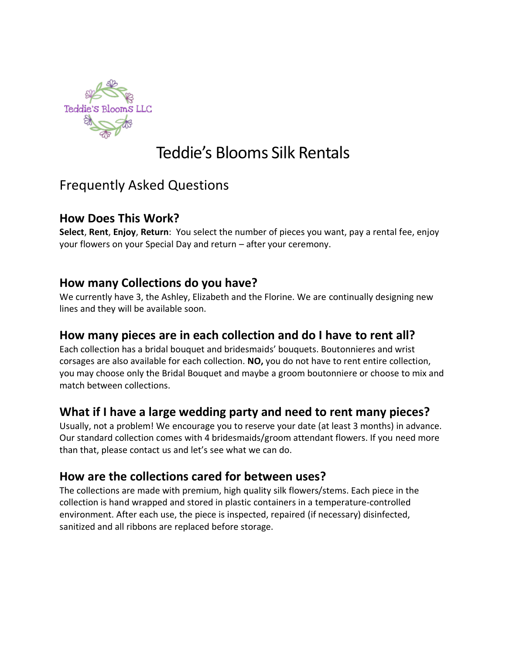

# Teddie's Blooms Silk Rentals

## Frequently Asked Questions

#### **How Does This Work?**

**Select**, **Rent**, **Enjoy**, **Return**: You select the number of pieces you want, pay a rental fee, enjoy your flowers on your Special Day and return – after your ceremony.

#### **How many Collections do you have?**

We currently have 3, the Ashley, Elizabeth and the Florine. We are continually designing new lines and they will be available soon.

#### **How many pieces are in each collection and do I have to rent all?**

Each collection has a bridal bouquet and bridesmaids' bouquets. Boutonnieres and wrist corsages are also available for each collection. **NO,** you do not have to rent entire collection, you may choose only the Bridal Bouquet and maybe a groom boutonniere or choose to mix and match between collections.

#### **What if I have a large wedding party and need to rent many pieces?**

Usually, not a problem! We encourage you to reserve your date (at least 3 months) in advance. Our standard collection comes with 4 bridesmaids/groom attendant flowers. If you need more than that, please contact us and let's see what we can do.

#### **How are the collections cared for between uses?**

The collections are made with premium, high quality silk flowers/stems. Each piece in the collection is hand wrapped and stored in plastic containers in a temperature-controlled environment. After each use, the piece is inspected, repaired (if necessary) disinfected, sanitized and all ribbons are replaced before storage.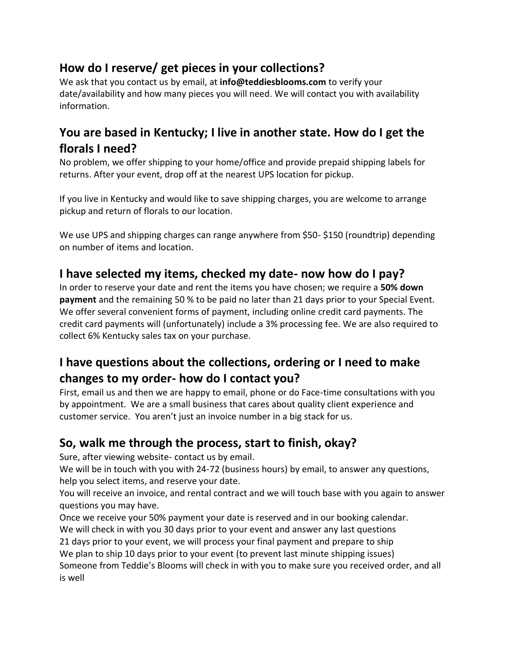## **How do I reserve/ get pieces in your collections?**

We ask that you contact us by email, at **info@teddiesblooms.com** to verify your date/availability and how many pieces you will need. We will contact you with availability information.

## **You are based in Kentucky; I live in another state. How do I get the florals I need?**

No problem, we offer shipping to your home/office and provide prepaid shipping labels for returns. After your event, drop off at the nearest UPS location for pickup.

If you live in Kentucky and would like to save shipping charges, you are welcome to arrange pickup and return of florals to our location.

We use UPS and shipping charges can range anywhere from \$50- \$150 (roundtrip) depending on number of items and location.

## **I have selected my items, checked my date- now how do I pay?**

In order to reserve your date and rent the items you have chosen; we require a **50% down payment** and the remaining 50 % to be paid no later than 21 days prior to your Special Event. We offer several convenient forms of payment, including online credit card payments. The credit card payments will (unfortunately) include a 3% processing fee. We are also required to collect 6% Kentucky sales tax on your purchase.

## **I have questions about the collections, ordering or I need to make changes to my order- how do I contact you?**

First, email us and then we are happy to email, phone or do Face-time consultations with you by appointment. We are a small business that cares about quality client experience and customer service. You aren't just an invoice number in a big stack for us.

## **So, walk me through the process, start to finish, okay?**

Sure, after viewing website- contact us by email.

We will be in touch with you with 24-72 (business hours) by email, to answer any questions, help you select items, and reserve your date.

You will receive an invoice, and rental contract and we will touch base with you again to answer questions you may have.

Once we receive your 50% payment your date is reserved and in our booking calendar.

We will check in with you 30 days prior to your event and answer any last questions 21 days prior to your event, we will process your final payment and prepare to ship

We plan to ship 10 days prior to your event (to prevent last minute shipping issues)

Someone from Teddie's Blooms will check in with you to make sure you received order, and all is well